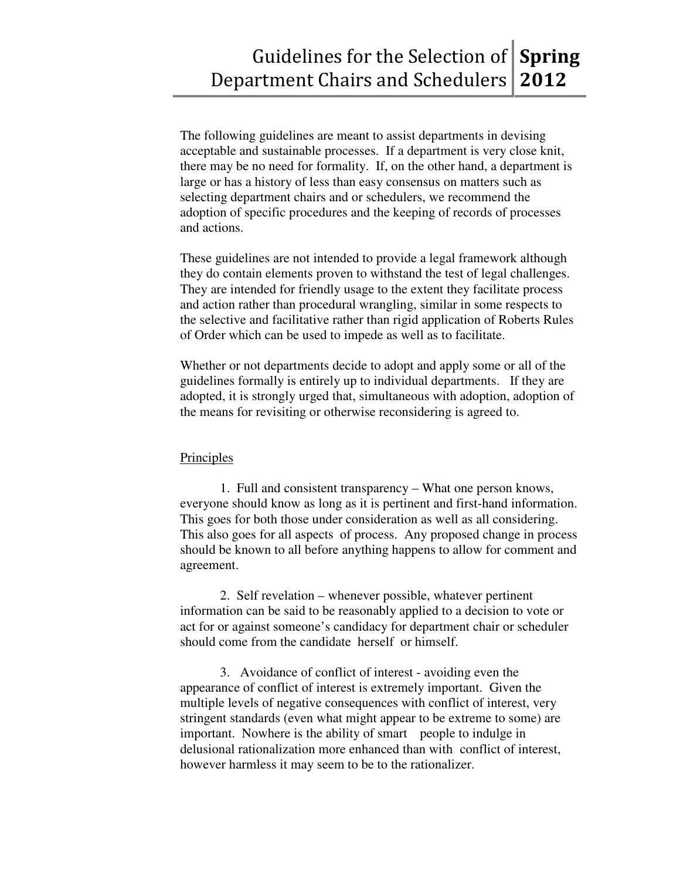The following guidelines are meant to assist departments in devising acceptable and sustainable processes. If a department is very close knit, there may be no need for formality. If, on the other hand, a department is large or has a history of less than easy consensus on matters such as selecting department chairs and or schedulers, we recommend the adoption of specific procedures and the keeping of records of processes and actions.

These guidelines are not intended to provide a legal framework although they do contain elements proven to withstand the test of legal challenges. They are intended for friendly usage to the extent they facilitate process and action rather than procedural wrangling, similar in some respects to the selective and facilitative rather than rigid application of Roberts Rules of Order which can be used to impede as well as to facilitate.

Whether or not departments decide to adopt and apply some or all of the guidelines formally is entirely up to individual departments. If they are adopted, it is strongly urged that, simultaneous with adoption, adoption of the means for revisiting or otherwise reconsidering is agreed to.

#### Principles

 1. Full and consistent transparency – What one person knows, everyone should know as long as it is pertinent and first-hand information. This goes for both those under consideration as well as all considering. This also goes for all aspects of process. Any proposed change in process should be known to all before anything happens to allow for comment and agreement.

 2. Self revelation – whenever possible, whatever pertinent information can be said to be reasonably applied to a decision to vote or act for or against someone's candidacy for department chair or scheduler should come from the candidate herself or himself.

 3. Avoidance of conflict of interest - avoiding even the appearance of conflict of interest is extremely important. Given the multiple levels of negative consequences with conflict of interest, very stringent standards (even what might appear to be extreme to some) are important. Nowhere is the ability of smart people to indulge in delusional rationalization more enhanced than with conflict of interest, however harmless it may seem to be to the rationalizer.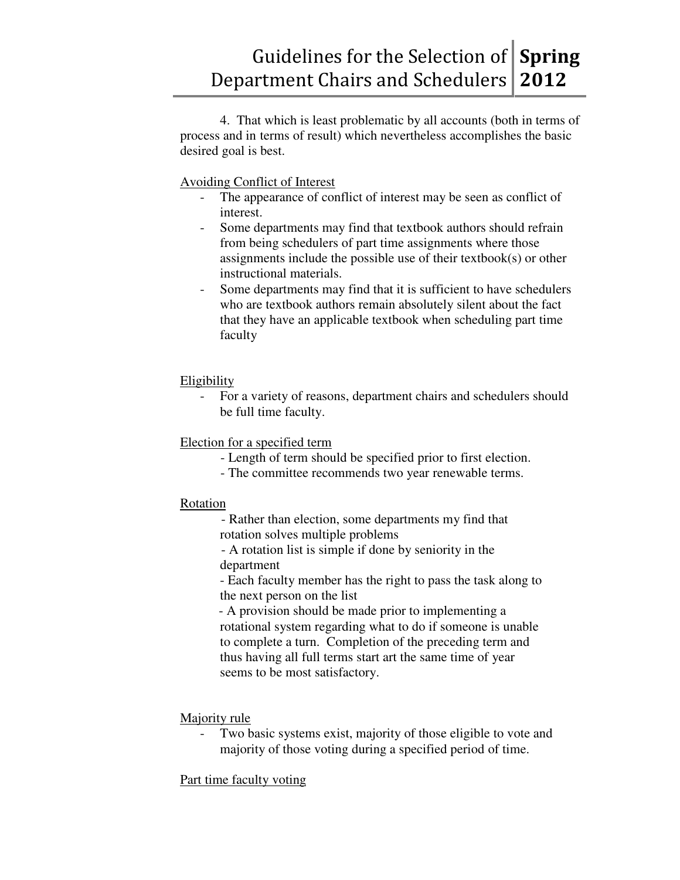4. That which is least problematic by all accounts (both in terms of process and in terms of result) which nevertheless accomplishes the basic desired goal is best.

Avoiding Conflict of Interest

- The appearance of conflict of interest may be seen as conflict of interest.
- Some departments may find that textbook authors should refrain from being schedulers of part time assignments where those assignments include the possible use of their textbook(s) or other instructional materials.
- Some departments may find that it is sufficient to have schedulers who are textbook authors remain absolutely silent about the fact that they have an applicable textbook when scheduling part time faculty

# Eligibility

For a variety of reasons, department chairs and schedulers should be full time faculty.

# Election for a specified term

- Length of term should be specified prior to first election.
- The committee recommends two year renewable terms.

### Rotation

- Rather than election, some departments my find that rotation solves multiple problems

- A rotation list is simple if done by seniority in the department

 - Each faculty member has the right to pass the task along to the next person on the list

- A provision should be made prior to implementing a rotational system regarding what to do if someone is unable to complete a turn. Completion of the preceding term and thus having all full terms start art the same time of year seems to be most satisfactory.

Majority rule

Two basic systems exist, majority of those eligible to vote and majority of those voting during a specified period of time.

Part time faculty voting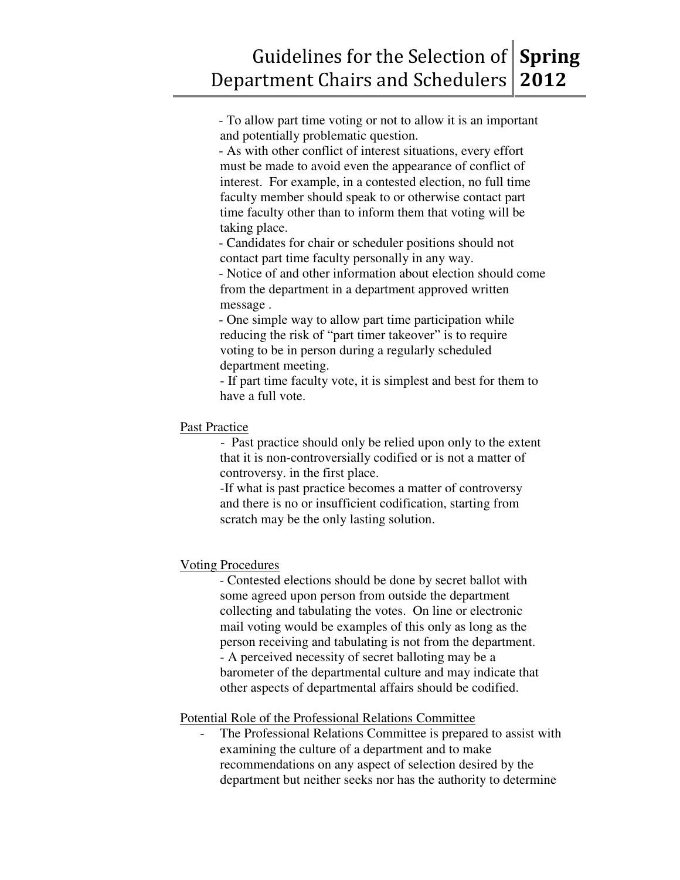- To allow part time voting or not to allow it is an important and potentially problematic question.

- As with other conflict of interest situations, every effort must be made to avoid even the appearance of conflict of interest. For example, in a contested election, no full time faculty member should speak to or otherwise contact part time faculty other than to inform them that voting will be taking place.

- Candidates for chair or scheduler positions should not contact part time faculty personally in any way.

- Notice of and other information about election should come from the department in a department approved written message .

- One simple way to allow part time participation while reducing the risk of "part timer takeover" is to require voting to be in person during a regularly scheduled department meeting.

 - If part time faculty vote, it is simplest and best for them to have a full vote.

## Past Practice

- Past practice should only be relied upon only to the extent that it is non-controversially codified or is not a matter of controversy. in the first place.

 -If what is past practice becomes a matter of controversy and there is no or insufficient codification, starting from scratch may be the only lasting solution.

# Voting Procedures

- Contested elections should be done by secret ballot with some agreed upon person from outside the department collecting and tabulating the votes. On line or electronic mail voting would be examples of this only as long as the person receiving and tabulating is not from the department. - A perceived necessity of secret balloting may be a barometer of the departmental culture and may indicate that other aspects of departmental affairs should be codified.

### Potential Role of the Professional Relations Committee

The Professional Relations Committee is prepared to assist with examining the culture of a department and to make recommendations on any aspect of selection desired by the department but neither seeks nor has the authority to determine